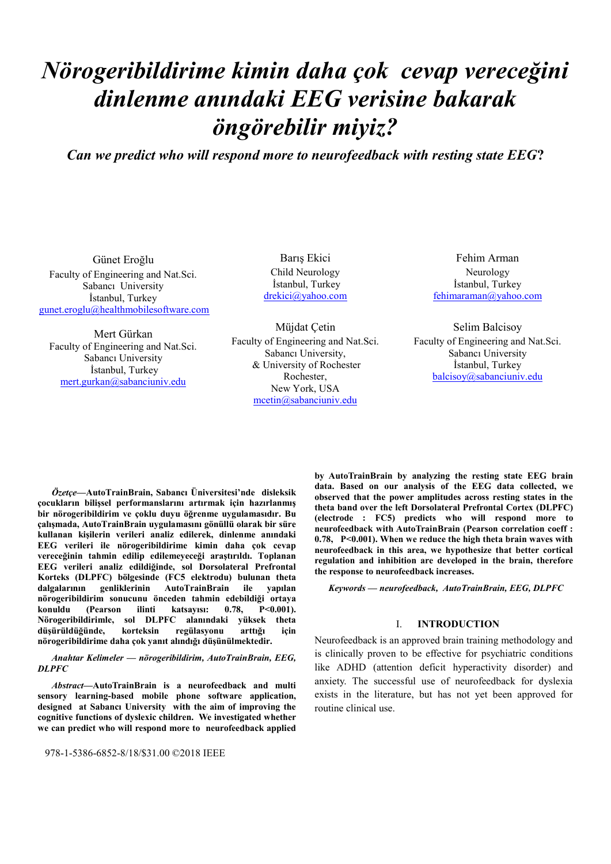# *Nörogeribildirime kimin daha çok cevap vereceğini dinlenme anındaki EEG verisine bakarak öngörebilir miyiz?*

*Can we predict who will respond more to neurofeedback with resting state EEG***?**

Günet Eroğlu Faculty of Engineering and Nat.Sci. Sabancı University İstanbul, Turkey [gunet.eroglu@healthmobilesoftware.com](mailto:gunet.eroglu@healthmobilesoftware.com)

Mert Gürkan Faculty of Engineering and Nat.Sci. Sabancı University İstanbul, Turkey [mert.gurkan@sabanciuniv.edu](mailto:mert.gurkan@sabanciuniv.edu)

Barış Ekici Child Neurology İstanbul, Turkey [drekici@yahoo.com](mailto:drekici@yahoo.com)

Müjdat Çetin Faculty of Engineering and Nat.Sci. Sabancı University, & University of Rochester Rochester, New York, USA [mcetin@sabanciuniv.edu](mailto:mcetin@sabanciuniv.edu)

Fehim Arman Neurology İstanbul, Turkey fehimarama[n@yahoo.com](mailto:drekici@yahoo.com)

Selim Balcisoy Faculty of Engineering and Nat.Sci. Sabancı University İstanbul, Turkey [balcisoy@sabanciuniv.edu](mailto:balcisoy@sabanciuniv.edu)

*Özetçe***—AutoTrainBrain, Sabancı Üniversitesi'nde disleksik çocukların bilişsel performanslarını artırmak için hazırlanmış bir nörogeribildirim ve çoklu duyu öğrenme uygulamasıdır. Bu çalışmada, AutoTrainBrain uygulamasını gönüllü olarak bir süre kullanan kişilerin verileri analiz edilerek, dinlenme anındaki EEG verileri ile nörogeribildirime kimin daha çok cevap vereceğinin tahmin edilip edilemeyeceği araştırıldı. Toplanan EEG verileri analiz edildiğinde, sol Dorsolateral Prefrontal Korteks (DLPFC) bölgesinde (FC5 elektrodu) bulunan theta**  dalgalarının genliklerinin AutoTrainBrain ile **nörogeribildirim sonucunu önceden tahmin edebildiği ortaya konuldu (Pearson ilinti katsayısı: 0.78, P<0.001). Nörogeribildirimle, sol DLPFC alanındaki yüksek theta düşürüldüğünde, korteksin regülasyonu arttığı için nörogeribildirime daha çok yanıt alındığı düşünülmektedir.**

*Anahtar Kelimeler — nörogeribildirim, AutoTrainBrain, EEG, DLPFC*

*Abstract***—AutoTrainBrain is a neurofeedback and multi sensory learning-based mobile phone software application, designed at Sabancı University with the aim of improving the cognitive functions of dyslexic children. We investigated whether we can predict who will respond more to neurofeedback applied** 

978-1-5386-6852-8/18/\$31.00 ©2018 IEEE

**by AutoTrainBrain by analyzing the resting state EEG brain data. Based on our analysis of the EEG data collected, we observed that the power amplitudes across resting states in the theta band over the left Dorsolateral Prefrontal Cortex (DLPFC) (electrode : FC5) predicts who will respond more to neurofeedback with AutoTrainBrain (Pearson correlation coeff : 0.78, P<0.001). When we reduce the high theta brain waves with neurofeedback in this area, we hypothesize that better cortical regulation and inhibition are developed in the brain, therefore the response to neurofeedback increases.**

*Keywords — neurofeedback, AutoTrainBrain, EEG, DLPFC*

#### I. **INTRODUCTION**

Neurofeedback is an approved brain training methodology and is clinically proven to be effective for psychiatric conditions like ADHD (attention deficit hyperactivity disorder) and anxiety. The successful use of neurofeedback for dyslexia exists in the literature, but has not yet been approved for routine clinical use.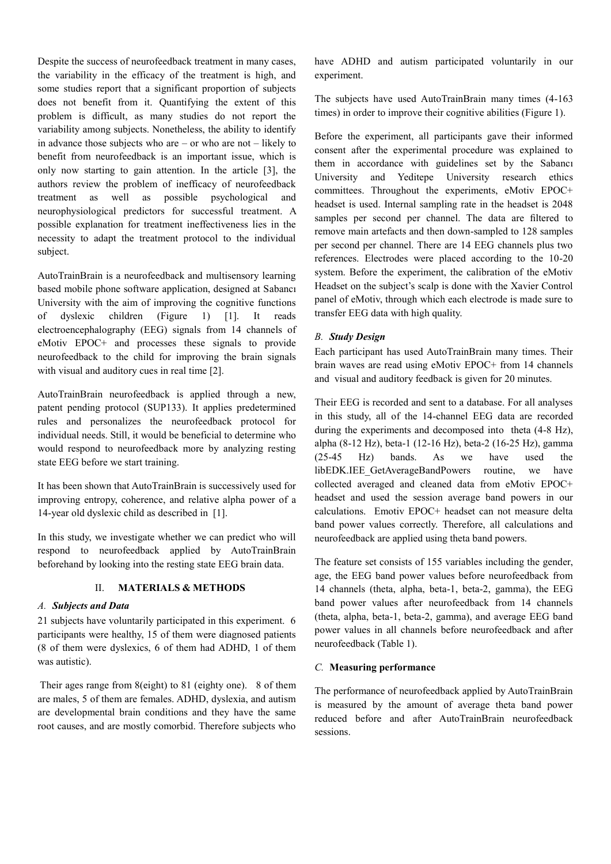Despite the success of neurofeedback treatment in many cases, the variability in the efficacy of the treatment is high, and some studies report that a significant proportion of subjects does not benefit from it. Quantifying the extent of this problem is difficult, as many studies do not report the variability among subjects. Nonetheless, the ability to identify in advance those subjects who are – or who are not – likely to benefit from neurofeedback is an important issue, which is only now starting to gain attention. In the article [3], the authors review the problem of inefficacy of neurofeedback treatment as well as possible psychological and neurophysiological predictors for successful treatment. A possible explanation for treatment ineffectiveness lies in the necessity to adapt the treatment protocol to the individual subject.

AutoTrainBrain is a neurofeedback and multisensory learning based mobile phone software application, designed at Sabancı University with the aim of improving the cognitive functions of dyslexic children (Figure 1) [1]. It reads electroencephalography (EEG) signals from 14 channels of eMotiv EPOC+ and processes these signals to provide neurofeedback to the child for improving the brain signals with visual and auditory cues in real time [2].

AutoTrainBrain neurofeedback is applied through a new, patent pending protocol (SUP133). It applies predetermined rules and personalizes the neurofeedback protocol for individual needs. Still, it would be beneficial to determine who would respond to neurofeedback more by analyzing resting state EEG before we start training.

It has been shown that AutoTrainBrain is successively used for improving entropy, coherence, and relative alpha power of a 14-year old dyslexic child as described in [1].

In this study, we investigate whether we can predict who will respond to neurofeedback applied by AutoTrainBrain beforehand by looking into the resting state EEG brain data.

### II. **MATERIALS & METHODS**

#### *A. Subjects and Data*

21 subjects have voluntarily participated in this experiment. 6 participants were healthy, 15 of them were diagnosed patients (8 of them were dyslexics, 6 of them had ADHD, 1 of them was autistic).

Their ages range from 8(eight) to 81 (eighty one). 8 of them are males, 5 of them are females. ADHD, dyslexia, and autism are developmental brain conditions and they have the same root causes, and are mostly comorbid. Therefore subjects who

have ADHD and autism participated voluntarily in our experiment.

The subjects have used AutoTrainBrain many times (4-163 times) in order to improve their cognitive abilities (Figure 1).

Before the experiment, all participants gave their informed consent after the experimental procedure was explained to them in accordance with guidelines set by the Sabancı University and Yeditepe University research ethics committees. Throughout the experiments, eMotiv EPOC+ headset is used. Internal sampling rate in the headset is 2048 samples per second per channel. The data are filtered to remove main artefacts and then down-sampled to 128 samples per second per channel. There are 14 EEG channels plus two references. Electrodes were placed according to the 10-20 system. Before the experiment, the calibration of the eMotiv Headset on the subject's scalp is done with the Xavier Control panel of eMotiv, through which each electrode is made sure to transfer EEG data with high quality.

### *B. Study Design*

Each participant has used AutoTrainBrain many times. Their brain waves are read using eMotiv EPOC+ from 14 channels and visual and auditory feedback is given for 20 minutes.

Their EEG is recorded and sent to a database. For all analyses in this study, all of the 14-channel EEG data are recorded during the experiments and decomposed into theta (4-8 Hz), alpha (8-12 Hz), beta-1 (12-16 Hz), beta-2 (16-25 Hz), gamma (25-45 Hz) bands. As we have used the libEDK.IEE\_GetAverageBandPowers routine, we have collected averaged and cleaned data from eMotiv EPOC+ headset and used the session average band powers in our calculations. Emotiv EPOC+ headset can not measure delta band power values correctly. Therefore, all calculations and neurofeedback are applied using theta band powers.

The feature set consists of 155 variables including the gender, age, the EEG band power values before neurofeedback from 14 channels (theta, alpha, beta-1, beta-2, gamma), the EEG band power values after neurofeedback from 14 channels (theta, alpha, beta-1, beta-2, gamma), and average EEG band power values in all channels before neurofeedback and after neurofeedback (Table 1).

#### *C.* **Measuring performance**

The performance of neurofeedback applied by AutoTrainBrain is measured by the amount of average theta band power reduced before and after AutoTrainBrain neurofeedback sessions.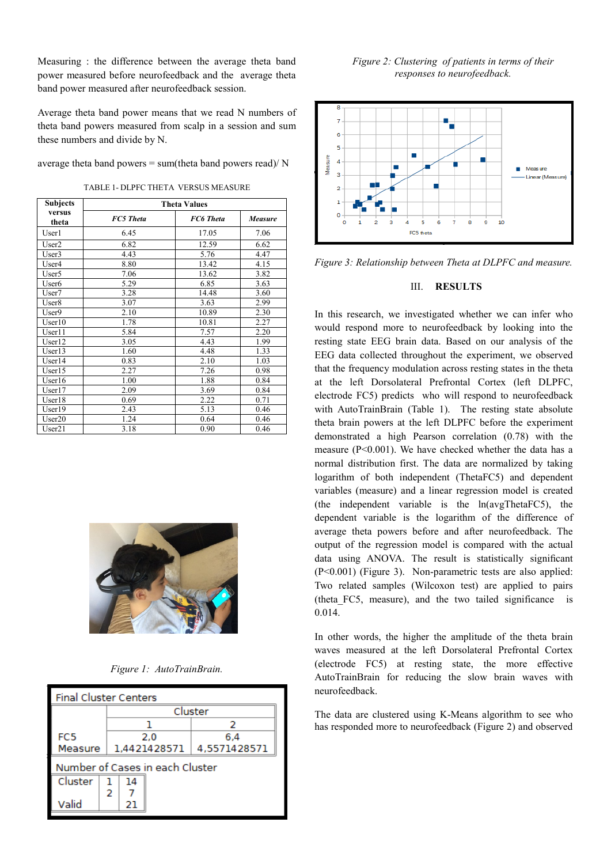Measuring : the difference between the average theta band power measured before neurofeedback and the average theta band power measured after neurofeedback session.

Average theta band power means that we read N numbers of theta band powers measured from scalp in a session and sum these numbers and divide by N.

average theta band powers = sum(theta band powers read)/ N

TABLE 1- DLPFC THETA VERSUS MEASURE

| <b>Subjects</b>   | <b>Theta Values</b> |                  |                |  |  |
|-------------------|---------------------|------------------|----------------|--|--|
| versus<br>theta   | <b>FC5</b> Theta    | <b>FC6</b> Theta | <b>Measure</b> |  |  |
| User1             | 6.45                | 17.05            | 7.06           |  |  |
| User <sub>2</sub> | 6.82                | 12.59            | 6.62           |  |  |
| User3             | 4.43                | 5.76             | 4.47           |  |  |
| User4             | 8.80                | 13.42            | 4.15           |  |  |
| User <sub>5</sub> | 7.06                | 13.62            | 3.82           |  |  |
| User <sub>6</sub> | 5.29                | 6.85             | 3.63           |  |  |
| User <sub>7</sub> | 3.28                | 14.48            | 3.60           |  |  |
| User <sub>8</sub> | 3.07                | 3.63             | 2.99           |  |  |
| User9             | 2.10                | 10.89            | 2.30           |  |  |
| User10            | 1.78                | 10.81            | 2.27           |  |  |
| User11            | 5.84                | 7.57             | 2.20           |  |  |
| User12            | 3.05                | 4.43             | 1.99           |  |  |
| User13            | 1.60                | 4.48             | 1.33           |  |  |
| User14            | 0.83                | 2.10             | 1.03           |  |  |
| User15            | 2.27                | 7.26             | 0.98           |  |  |
| User16            | 1.00                | 1.88             | 0.84           |  |  |
| User17            | 2.09                | 3.69             | 0.84           |  |  |
| User18            | 0.69                | 2.22             | 0.71           |  |  |
| User19            | 2.43                | 5.13             | 0.46           |  |  |
| User20            | 1.24                | 0.64             | 0.46           |  |  |
| User21            | 3.18                | 0.90             | 0.46           |  |  |



*Figure 1: AutoTrainBrain.* 

| <b>Final Cluster Centers</b>    |   |              |  |              |  |
|---------------------------------|---|--------------|--|--------------|--|
|                                 |   | Cluster      |  |              |  |
|                                 |   |              |  |              |  |
| FC <sub>5</sub>                 |   | 2.0          |  | 6.4          |  |
| Measure                         |   | 1,4421428571 |  | 4,5571428571 |  |
| Number of Cases in each Cluster |   |              |  |              |  |
| Cluster                         |   | 14           |  |              |  |
|                                 | 2 |              |  |              |  |
| Valid                           |   | 21           |  |              |  |





*Figure 3: Relationship between Theta at DLPFC and measure.*

## III. **RESULTS**

In this research, we investigated whether we can infer who would respond more to neurofeedback by looking into the resting state EEG brain data. Based on our analysis of the EEG data collected throughout the experiment, we observed that the frequency modulation across resting states in the theta at the left Dorsolateral Prefrontal Cortex (left DLPFC, electrode FC5) predicts who will respond to neurofeedback with AutoTrainBrain (Table 1). The resting state absolute theta brain powers at the left DLPFC before the experiment demonstrated a high Pearson correlation (0.78) with the measure (P<0.001). We have checked whether the data has a normal distribution first. The data are normalized by taking logarithm of both independent (ThetaFC5) and dependent variables (measure) and a linear regression model is created (the independent variable is the ln(avgThetaFC5), the dependent variable is the logarithm of the difference of average theta powers before and after neurofeedback. The output of the regression model is compared with the actual data using ANOVA. The result is statistically significant (P<0.001) (Figure 3). Non-parametric tests are also applied: Two related samples (Wilcoxon test) are applied to pairs (theta\_FC5, measure), and the two tailed significance is 0.014.

In other words, the higher the amplitude of the theta brain waves measured at the left Dorsolateral Prefrontal Cortex (electrode FC5) at resting state, the more effective AutoTrainBrain for reducing the slow brain waves with neurofeedback.

The data are clustered using K-Means algorithm to see who has responded more to neurofeedback (Figure 2) and observed